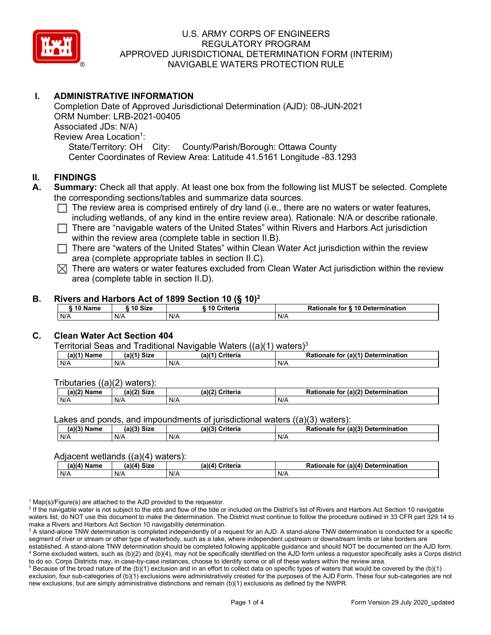

# **I. ADMINISTRATIVE INFORMATION**

Completion Date of Approved Jurisdictional Determination (AJD): 08-JUN-2021 ORM Number: LRB-2021-00405 Associated JDs: N/A) Review Area Location<sup>1</sup>: State/Territory: OH City: County/Parish/Borough: Ottawa County Center Coordinates of Review Area: Latitude 41.5161 Longitude -83.1293

## **II. FINDINGS**

- **A. Summary:** Check all that apply. At least one box from the following list MUST be selected. Complete the corresponding sections/tables and summarize data sources.
	- $\Box$  The review area is comprised entirely of dry land (i.e., there are no waters or water features, including wetlands, of any kind in the entire review area). Rationale: N/A or describe rationale.
	- $\Box$  There are "navigable waters of the United States" within Rivers and Harbors Act jurisdiction within the review area (complete table in section II.B).
	- $\Box$  There are "waters of the United States" within Clean Water Act jurisdiction within the review area (complete appropriate tables in section II.C).
	- $\boxtimes$  There are waters or water features excluded from Clean Water Act jurisdiction within the review area (complete table in section II.D).

### **B. Rivers and Harbors Act of 1899 Section 10 (§ 10)2**

|     | ົ 10 Name |     | ົ 10 Size | Criteria<br>. 1 U |     | Rationale for § 10 Determination |  |  |  |  |
|-----|-----------|-----|-----------|-------------------|-----|----------------------------------|--|--|--|--|
| N/A |           | N/A |           | N/A               | N/A |                                  |  |  |  |  |

# **C. Clean Water Act Section 404**

Territorial Seas and Traditional Navigable Waters  $((a)(1)$  waters)<sup>3</sup>

| $(a)(1)$ .<br>Name | $(a)$ $(4)$<br>Size | (a)<br>Criteria | (a)(1) Determination<br>Rationale<br>for |
|--------------------|---------------------|-----------------|------------------------------------------|
| N/A                | N/A                 | N/A             | N/A                                      |

Tributaries ((a)(2) waters):

| н   | $\sim$<br>$\sim$ Cime<br>JILE | 21/2<br><br>пе | (2)<br><b>Determination</b><br>TOI<br>naie |
|-----|-------------------------------|----------------|--------------------------------------------|
| N/A | N/A                           | N/A            | N/A                                        |

Lakes and ponds, and impoundments of jurisdictional waters ((a)(3) waters):

| (a)(3) Name | $(a)(3)$ Size | (a)(?') | Criteria | Rationale | (2)<br><b>Determination</b><br>. for |
|-------------|---------------|---------|----------|-----------|--------------------------------------|
| N/A         | N/A           | N/A     |          | N/A       |                                      |

### Adjacent wetlands ((a)(4) waters):

| $(a)(4)$ Name | (a)(4) Size | .<br>(a)(4) Criteria | Rationale for (a)(4) Determination |
|---------------|-------------|----------------------|------------------------------------|
| N/A           | N/f         | N/A                  | N/A                                |

 $1$  Map(s)/Figure(s) are attached to the AJD provided to the requestor.

<sup>2</sup> If the navigable water is not subject to the ebb and flow of the tide or included on the District's list of Rivers and Harbors Act Section 10 navigable waters list, do NOT use this document to make the determination. The District must continue to follow the procedure outlined in 33 CFR part 329.14 to make a Rivers and Harbors Act Section 10 navigability determination.

<sup>3</sup> A stand-alone TNW determination is completed independently of a request for an AJD. A stand-alone TNW determination is conducted for a specific segment of river or stream or other type of waterbody, such as a lake, where independent upstream or downstream limits or lake borders are established. A stand-alone TNW determination should be completed following applicable guidance and should NOT be documented on the AJD form. <sup>4</sup> Some excluded waters, such as (b)(2) and (b)(4), may not be specifically identified on the AJD form unless a requestor specifically asks a Corps district to do so. Corps Districts may, in case-by-case instances, choose to identify some or all of these waters within the review area.

 $5$  Because of the broad nature of the (b)(1) exclusion and in an effort to collect data on specific types of waters that would be covered by the (b)(1) exclusion, four sub-categories of (b)(1) exclusions were administratively created for the purposes of the AJD Form. These four sub-categories are not new exclusions, but are simply administrative distinctions and remain (b)(1) exclusions as defined by the NWPR.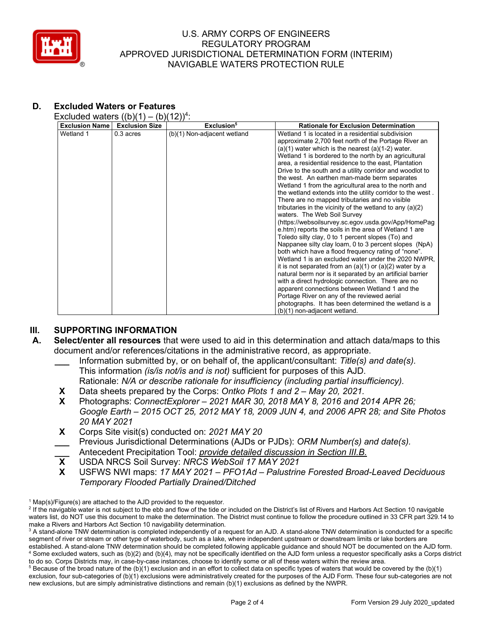

# **D. Excluded Waters or Features**

Excluded waters  $((b)(1) - (b)(12))^4$ :

| Wetland 1<br>$0.3$ acres<br>(b)(1) Non-adjacent wetland<br>Wetland 1 is located in a residential subdivision<br>approximate 2,700 feet north of the Portage River an<br>$(a)(1)$ water which is the nearest $(a)(1-2)$ water.<br>Wetland 1 is bordered to the north by an agricultural<br>area, a residential residence to the east, Plantation<br>Drive to the south and a utility corridor and woodlot to<br>the west. An earthen man-made berm separates<br>Wetland 1 from the agricultural area to the north and<br>There are no mapped tributaries and no visible<br>tributaries in the vicinity of the wetland to any $(a)(2)$<br>waters. The Web Soil Survey<br>e.htm) reports the soils in the area of Wetland 1 are<br>Toledo silty clay, 0 to 1 percent slopes (To) and<br>Nappanee silty clay loam, 0 to 3 percent slopes (NpA)<br>both which have a flood frequency rating of "none".<br>it is not separated from an $(a)(1)$ or $(a)(2)$ water by a<br>natural berm nor is it separated by an artificial barrier<br>with a direct hydrologic connection. There are no<br>apparent connections between Wetland 1 and the | <b>Exclusion Name</b> | <b>Exclusion Size</b> | Exclusion <sup>5</sup> | <b>Rationale for Exclusion Determination</b>                                                                                                                             |
|--------------------------------------------------------------------------------------------------------------------------------------------------------------------------------------------------------------------------------------------------------------------------------------------------------------------------------------------------------------------------------------------------------------------------------------------------------------------------------------------------------------------------------------------------------------------------------------------------------------------------------------------------------------------------------------------------------------------------------------------------------------------------------------------------------------------------------------------------------------------------------------------------------------------------------------------------------------------------------------------------------------------------------------------------------------------------------------------------------------------------------------|-----------------------|-----------------------|------------------------|--------------------------------------------------------------------------------------------------------------------------------------------------------------------------|
| Portage River on any of the reviewed aerial<br>photographs. It has been determined the wetland is a                                                                                                                                                                                                                                                                                                                                                                                                                                                                                                                                                                                                                                                                                                                                                                                                                                                                                                                                                                                                                                  |                       |                       |                        | the wetland extends into the utility corridor to the west.<br>(https://websoilsurvey.sc.egov.usda.gov/App/HomePag<br>Wetland 1 is an excluded water under the 2020 NWPR. |

# **III. SUPPORTING INFORMATION**

- **A. Select/enter all resources** that were used to aid in this determination and attach data/maps to this document and/or references/citations in the administrative record, as appropriate.
	- **\_\_\_** Information submitted by, or on behalf of, the applicant/consultant: *Title(s) and date(s).* This information *(is/is not/is and is not)* sufficient for purposes of this AJD. Rationale: *N/A or describe rationale for insufficiency (including partial insufficiency).*
	-
	- **X** Data sheets prepared by the Corps: *Ontko Plots 1 and 2 – May 20, 2021.* **X** Photographs: *ConnectExplorer – 2021 MAR 30, 2018 MAY 8, 2016 and 2014 APR 26; Google Earth – 2015 OCT 25, 2012 MAY 18, 2009 JUN 4, and 2006 APR 28; and Site Photos 20 MAY 2021*
	- **X** Corps Site visit(s) conducted on: *2021 MAY 20* **\_\_\_** Previous Jurisdictional Determinations (AJDs or PJDs): *ORM Number(s) and date(s).*
	- **\_\_\_** Antecedent Precipitation Tool: *provide detailed discussion in Section III.B.*
	- **X** USDA NRCS Soil Survey: *NRCS WebSoil 17 MAY 2021*
	- **X** USFWS NWI maps: *17 MAY 2021 – PFO1Ad – Palustrine Forested Broad-Leaved Deciduous Temporary Flooded Partially Drained/Ditched*

 $1$  Map(s)/Figure(s) are attached to the AJD provided to the requestor.

<sup>&</sup>lt;sup>2</sup> If the navigable water is not subject to the ebb and flow of the tide or included on the District's list of Rivers and Harbors Act Section 10 navigable waters list, do NOT use this document to make the determination. The District must continue to follow the procedure outlined in 33 CFR part 329.14 to make a Rivers and Harbors Act Section 10 navigability determination.

<sup>&</sup>lt;sup>3</sup> A stand-alone TNW determination is completed independently of a request for an AJD. A stand-alone TNW determination is conducted for a specific segment of river or stream or other type of waterbody, such as a lake, where independent upstream or downstream limits or lake borders are established. A stand-alone TNW determination should be completed following applicable guidance and should NOT be documented on the AJD form. <sup>4</sup> Some excluded waters, such as (b)(2) and (b)(4), may not be specifically identified on the AJD form unless a requestor specifically asks a Corps district to do so. Corps Districts may, in case-by-case instances, choose to identify some or all of these waters within the review area.

 $5$  Because of the broad nature of the (b)(1) exclusion and in an effort to collect data on specific types of waters that would be covered by the (b)(1) exclusion, four sub-categories of (b)(1) exclusions were administratively created for the purposes of the AJD Form. These four sub-categories are not new exclusions, but are simply administrative distinctions and remain (b)(1) exclusions as defined by the NWPR.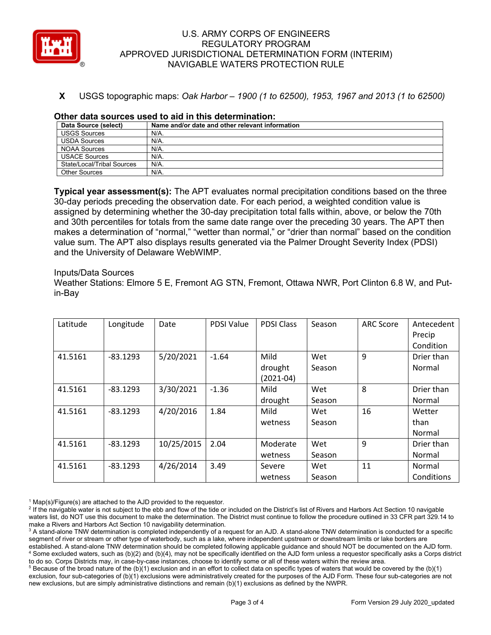

# **X** USGS topographic maps: *Oak Harbor – 1900 (1 to 62500), 1953, 1967 and 2013 (1 to 62500)*

| Data Source (select)       | Name and/or date and other relevant information |
|----------------------------|-------------------------------------------------|
| <b>USGS Sources</b>        | N/A.                                            |
| <b>USDA Sources</b>        | N/A.                                            |
| <b>NOAA Sources</b>        | N/A.                                            |
| <b>USACE Sources</b>       | $N/A$ .                                         |
| State/Local/Tribal Sources | N/A.                                            |
| Other Sources              | $N/A$ .                                         |

### **Other data sources used to aid in this determination:**

**Typical year assessment(s):** The APT evaluates normal precipitation conditions based on the three 30-day periods preceding the observation date. For each period, a weighted condition value is assigned by determining whether the 30-day precipitation total falls within, above, or below the 70th and 30th percentiles for totals from the same date range over the preceding 30 years. The APT then makes a determination of "normal," "wetter than normal," or "drier than normal" based on the condition value sum. The APT also displays results generated via the Palmer Drought Severity Index (PDSI) and the University of Delaware WebWIMP.

#### Inputs/Data Sources

Weather Stations: Elmore 5 E, Fremont AG STN, Fremont, Ottawa NWR, Port Clinton 6.8 W, and Putin-Bay

| Latitude | Longitude  | Date       | <b>PDSI Value</b> | <b>PDSI Class</b> | Season | <b>ARC Score</b> | Antecedent |
|----------|------------|------------|-------------------|-------------------|--------|------------------|------------|
|          |            |            |                   |                   |        |                  | Precip     |
|          |            |            |                   |                   |        |                  | Condition  |
| 41.5161  | $-83.1293$ | 5/20/2021  | $-1.64$           | Mild              | Wet    | 9                | Drier than |
|          |            |            |                   | drought           | Season |                  | Normal     |
|          |            |            |                   | $(2021-04)$       |        |                  |            |
| 41.5161  | $-83.1293$ | 3/30/2021  | $-1.36$           | Mild              | Wet    | 8                | Drier than |
|          |            |            |                   | drought           | Season |                  | Normal     |
| 41.5161  | $-83.1293$ | 4/20/2016  | 1.84              | Mild              | Wet    | 16               | Wetter     |
|          |            |            |                   | wetness           | Season |                  | than       |
|          |            |            |                   |                   |        |                  | Normal     |
| 41.5161  | $-83.1293$ | 10/25/2015 | 2.04              | Moderate          | Wet    | 9                | Drier than |
|          |            |            |                   | wetness           | Season |                  | Normal     |
| 41.5161  | $-83.1293$ | 4/26/2014  | 3.49              | Severe            | Wet    | 11               | Normal     |
|          |            |            |                   | wetness           | Season |                  | Conditions |

 $1$  Map(s)/Figure(s) are attached to the AJD provided to the requestor.

<sup>2</sup> If the navigable water is not subject to the ebb and flow of the tide or included on the District's list of Rivers and Harbors Act Section 10 navigable waters list, do NOT use this document to make the determination. The District must continue to follow the procedure outlined in 33 CFR part 329.14 to make a Rivers and Harbors Act Section 10 navigability determination.

<sup>3</sup> A stand-alone TNW determination is completed independently of a request for an AJD. A stand-alone TNW determination is conducted for a specific segment of river or stream or other type of waterbody, such as a lake, where independent upstream or downstream limits or lake borders are established. A stand-alone TNW determination should be completed following applicable guidance and should NOT be documented on the AJD form. <sup>4</sup> Some excluded waters, such as (b)(2) and (b)(4), may not be specifically identified on the AJD form unless a requestor specifically asks a Corps district to do so. Corps Districts may, in case-by-case instances, choose to identify some or all of these waters within the review area.

 $5$  Because of the broad nature of the (b)(1) exclusion and in an effort to collect data on specific types of waters that would be covered by the (b)(1) exclusion, four sub-categories of (b)(1) exclusions were administratively created for the purposes of the AJD Form. These four sub-categories are not new exclusions, but are simply administrative distinctions and remain (b)(1) exclusions as defined by the NWPR.